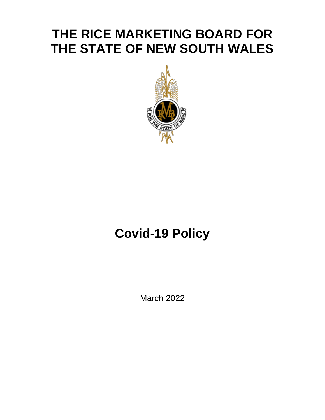## **THE RICE MARKETING BOARD FOR THE STATE OF NEW SOUTH WALES**



# **Covid-19 Policy**

March 2022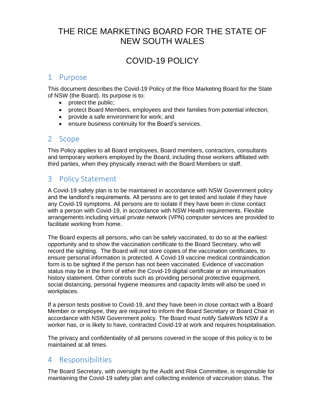### THE RICE MARKETING BOARD FOR THE STATE OF NEW SOUTH WALES

## COVID-19 POLICY

#### 1 Purpose

This document describes the Covid-19 Policy of the Rice Marketing Board for the State of NSW (the Board). Its purpose is to:

- protect the public;
- protect Board Members, employees and their families from potential infection;
- provide a safe environment for work; and
- ensure business continuity for the Board's services.

#### 2 Scope

This Policy applies to all Board employees, Board members, contractors, consultants and temporary workers employed by the Board, including those workers affiliated with third parties, when they physically interact with the Board Members or staff.

#### 3 Policy Statement

A Covid-19 safety plan is to be maintained in accordance with NSW Government policy and the landlord's requirements. All persons are to get tested and isolate if they have any Covid-19 symptoms. All persons are to isolate if they have been in close contact with a person with Covid-19, in accordance with NSW Health requirements. Flexible arrangements including virtual private network (VPN) computer services are provided to facilitate working from home.

The Board expects all persons, who can be safely vaccinated, to do so at the earliest opportunity and to show the vaccination certificate to the Board Secretary, who will record the sighting. The Board will not store copies of the vaccination certificates, to ensure personal information is protected. A Covid-19 vaccine medical contraindication form is to be sighted if the person has not been vaccinated. Evidence of vaccination status may be in the form of either the Covid-19 digital certificate or an immunisation history statement. Other controls such as providing personal protective equipment, social distancing, personal hygiene measures and capacity limits will also be used in workplaces.

If a person tests positive to Covid-19, and they have been in close contact with a Board Member or employee, they are required to inform the Board Secretary or Board Chair in accordance with NSW Government policy. The Board must notify SafeWork NSW if a worker has, or is likely to have, contracted Covid-19 at work and requires hospitalisation.

The privacy and confidentiality of all persons covered in the scope of this policy is to be maintained at all times.

#### 4 Responsibilities

The Board Secretary, with oversight by the Audit and Risk Committee, is responsible for maintaining the Covid-19 safety plan and collecting evidence of vaccination status. The